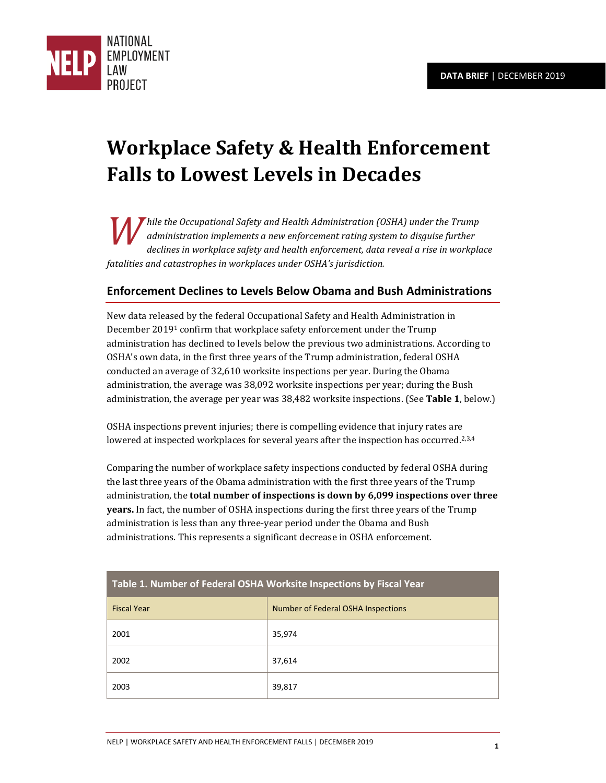

# **Workplace Safety & Health Enforcement Falls to Lowest Levels in Decades**

*hile the Occupational Safety and Health Administration (OSHA) under the Trump administration implements a new enforcement rating system to disguise further declines in workplace safety and health enforcement, data reveal a rise in workplace fatalities and catastrophes in workplaces under OSHA's jurisdiction.*   $\left| \bigvee \right|_d^h$ 

### **Enforcement Declines to Levels Below Obama and Bush Administrations**

New data released by the federal Occupational Safety and Health Administration in December 20191 confirm that workplace safety enforcement under the Trump administration has declined to levels below the previous two administrations. According to OSHA's own data, in the first three years of the Trump administration, federal OSHA conducted an average of 32,610 worksite inspections per year. During the Obama administration, the average was 38,092 worksite inspections per year; during the Bush administration, the average per year was 38,482 worksite inspections. (See **Table 1**, below.)

OSHA inspections prevent injuries; there is compelling evidence that injury rates are lowered at inspected workplaces for several years after the inspection has occurred.<sup>2,3,4</sup>

Comparing the number of workplace safety inspections conducted by federal OSHA during the last three years of the Obama administration with the first three years of the Trump administration, the **total number of inspections is down by 6,099 inspections over three years.** In fact, the number of OSHA inspections during the first three years of the Trump administration is less than any three-year period under the Obama and Bush administrations. This represents a significant decrease in OSHA enforcement.

| Table 1. Number of Federal OSHA Worksite Inspections by Fiscal Year |                                    |  |  |
|---------------------------------------------------------------------|------------------------------------|--|--|
| <b>Fiscal Year</b>                                                  | Number of Federal OSHA Inspections |  |  |
| 2001                                                                | 35,974                             |  |  |
| 2002                                                                | 37,614                             |  |  |
| 2003                                                                | 39,817                             |  |  |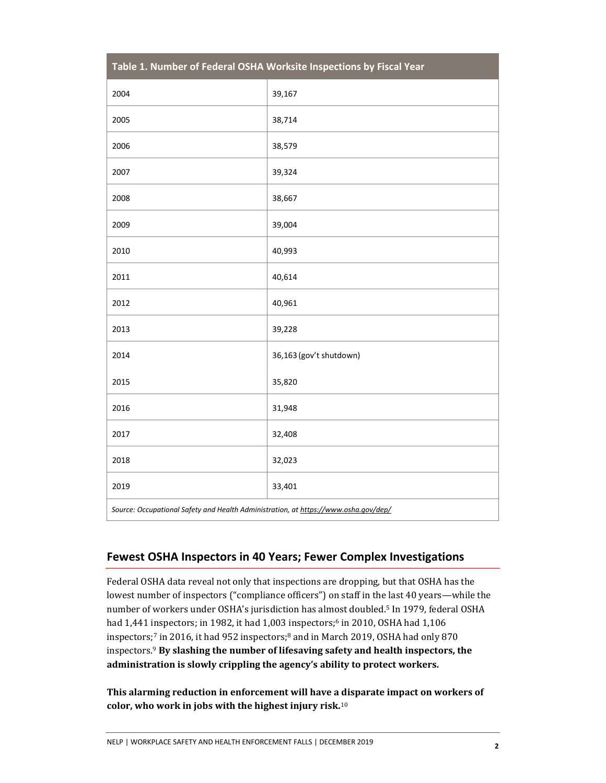| Table 1. Number of Federal OSHA Worksite Inspections by Fiscal Year                 |                         |  |  |
|-------------------------------------------------------------------------------------|-------------------------|--|--|
| 2004                                                                                | 39,167                  |  |  |
| 2005                                                                                | 38,714                  |  |  |
| 2006                                                                                | 38,579                  |  |  |
| 2007                                                                                | 39,324                  |  |  |
| 2008                                                                                | 38,667                  |  |  |
| 2009                                                                                | 39,004                  |  |  |
| 2010                                                                                | 40,993                  |  |  |
| 2011                                                                                | 40,614                  |  |  |
| 2012                                                                                | 40,961                  |  |  |
| 2013                                                                                | 39,228                  |  |  |
| 2014                                                                                | 36,163 (gov't shutdown) |  |  |
| 2015                                                                                | 35,820                  |  |  |
| 2016                                                                                | 31,948                  |  |  |
| 2017                                                                                | 32,408                  |  |  |
| 2018                                                                                | 32,023                  |  |  |
| 2019                                                                                | 33,401                  |  |  |
| Source: Occupational Safety and Health Administration, at https://www.osha.gov/dep/ |                         |  |  |

# **Fewest OSHA Inspectors in 40 Years; Fewer Complex Investigations**

Federal OSHA data reveal not only that inspections are dropping, but that OSHA has the lowest number of inspectors ("compliance officers") on staff in the last 40 years—while the number of workers under OSHA's jurisdiction has almost doubled.5 In 1979, federal OSHA had 1,441 inspectors; in 1982, it had 1,003 inspectors;<sup>6</sup> in 2010, OSHA had 1,106 inspectors;7 in 2016, it had 952 inspectors;8 and in March 2019, OSHA had only 870 inspectors.<sup>9</sup> **By slashing the number of lifesaving safety and health inspectors, the administration is slowly crippling the agency's ability to protect workers.**

**This alarming reduction in enforcement will have a disparate impact on workers of color, who work in jobs with the highest injury risk.**10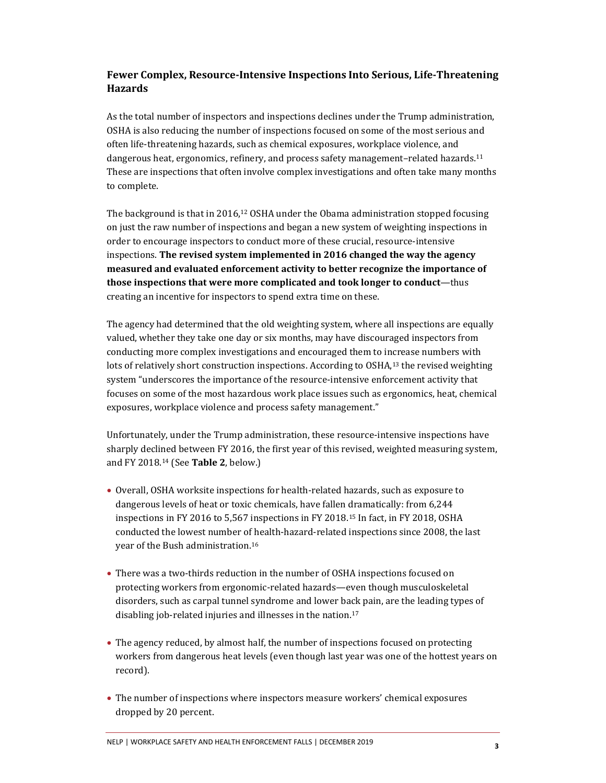#### **Fewer Complex, Resource-Intensive Inspections Into Serious, Life-Threatening Hazards**

As the total number of inspectors and inspections declines under the Trump administration, OSHA is also reducing the number of inspections focused on some of the most serious and often life-threatening hazards, such as chemical exposures, workplace violence, and dangerous heat, ergonomics, refinery, and process safety management–related hazards.<sup>11</sup> These are inspections that often involve complex investigations and often take many months to complete.

The background is that in 2016,12 OSHA under the Obama administration stopped focusing on just the raw number of inspections and began a new system of weighting inspections in order to encourage inspectors to conduct more of these crucial, resource-intensive inspections. **The revised system implemented in 2016 changed the way the agency measured and evaluated enforcement activity to better recognize the importance of those inspections that were more complicated and took longer to conduct**—thus creating an incentive for inspectors to spend extra time on these.

The agency had determined that the old weighting system, where all inspections are equally valued, whether they take one day or six months, may have discouraged inspectors from conducting more complex investigations and encouraged them to increase numbers with lots of relatively short construction inspections. According to OSHA,<sup>13</sup> the revised weighting system "underscores the importance of the resource-intensive enforcement activity that focuses on some of the most hazardous work place issues such as ergonomics, heat, chemical exposures, workplace violence and process safety management."

Unfortunately, under the Trump administration, these resource-intensive inspections have sharply declined between FY 2016, the first year of this revised, weighted measuring system, and FY 2018.14 (See **Table 2**, below.)

- Overall, OSHA worksite inspections for health-related hazards, such as exposure to dangerous levels of heat or toxic chemicals, have fallen dramatically: from 6,244 inspections in FY 2016 to 5,567 inspections in FY 2018.15 In fact, in FY 2018, OSHA conducted the lowest number of health-hazard-related inspections since 2008, the last year of the Bush administration.<sup>16</sup>
- There was a two-thirds reduction in the number of OSHA inspections focused on protecting workers from ergonomic-related hazards—even though musculoskeletal disorders, such as carpal tunnel syndrome and lower back pain, are the leading types of disabling job-related injuries and illnesses in the nation.<sup>17</sup>
- The agency reduced, by almost half, the number of inspections focused on protecting workers from dangerous heat levels (even though last year was one of the hottest years on record).
- The number of inspections where inspectors measure workers' chemical exposures dropped by 20 percent.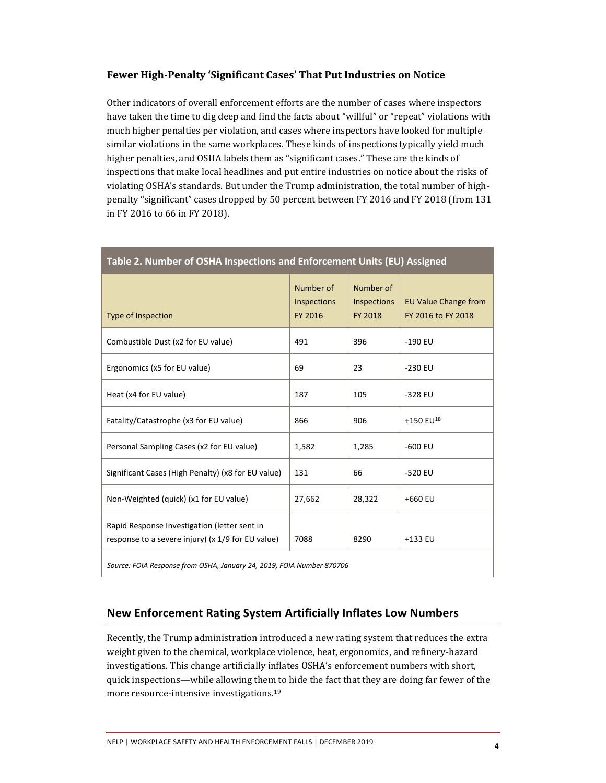#### **Fewer High-Penalty 'Significant Cases' That Put Industries on Notice**

Other indicators of overall enforcement efforts are the number of cases where inspectors have taken the time to dig deep and find the facts about "willful" or "repeat" violations with much higher penalties per violation, and cases where inspectors have looked for multiple similar violations in the same workplaces. These kinds of inspections typically yield much higher penalties, and OSHA labels them as "significant cases." These are the kinds of inspections that make local headlines and put entire industries on notice about the risks of violating OSHA's standards. But under the Trump administration, the total number of highpenalty "significant" cases dropped by 50 percent between FY 2016 and FY 2018 (from 131 in FY 2016 to 66 in FY 2018).

| Table 2. Number of OSHA Inspections and Enforcement Units (EU) Assigned                           |                                     |                                            |                                                   |  |
|---------------------------------------------------------------------------------------------------|-------------------------------------|--------------------------------------------|---------------------------------------------------|--|
| <b>Type of Inspection</b>                                                                         | Number of<br>Inspections<br>FY 2016 | Number of<br>Inspections<br><b>FY 2018</b> | <b>EU Value Change from</b><br>FY 2016 to FY 2018 |  |
| Combustible Dust (x2 for EU value)                                                                | 491                                 | 396                                        | $-190$ EU                                         |  |
| Ergonomics (x5 for EU value)                                                                      | 69                                  | 23                                         | $-230$ EU                                         |  |
| Heat (x4 for EU value)                                                                            | 187                                 | 105                                        | $-328$ EU                                         |  |
| Fatality/Catastrophe (x3 for EU value)                                                            | 866                                 | 906                                        | +150 EU <sup>18</sup>                             |  |
| Personal Sampling Cases (x2 for EU value)                                                         | 1,582                               | 1,285                                      | $-600$ EU                                         |  |
| Significant Cases (High Penalty) (x8 for EU value)                                                | 131                                 | 66                                         | -520 EU                                           |  |
| Non-Weighted (quick) (x1 for EU value)                                                            | 27,662                              | 28,322                                     | +660 EU                                           |  |
| Rapid Response Investigation (letter sent in<br>response to a severe injury) (x 1/9 for EU value) | 7088                                | 8290                                       | +133 EU                                           |  |
| Source: FOIA Response from OSHA, January 24, 2019, FOIA Number 870706                             |                                     |                                            |                                                   |  |

#### **New Enforcement Rating System Artificially Inflates Low Numbers**

Recently, the Trump administration introduced a new rating system that reduces the extra weight given to the chemical, workplace violence, heat, ergonomics, and refinery-hazard investigations. This change artificially inflates OSHA's enforcement numbers with short, quick inspections—while allowing them to hide the fact that they are doing far fewer of the more resource-intensive investigations.19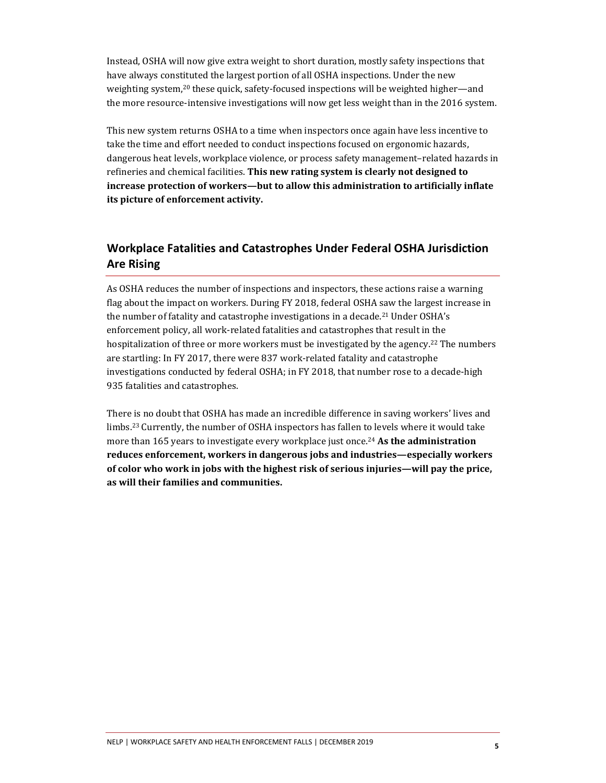Instead, OSHA will now give extra weight to short duration, mostly safety inspections that have always constituted the largest portion of all OSHA inspections. Under the new weighting system,<sup>20</sup> these quick, safety-focused inspections will be weighted higher—and the more resource-intensive investigations will now get less weight than in the 2016 system.

This new system returns OSHA to a time when inspectors once again have less incentive to take the time and effort needed to conduct inspections focused on ergonomic hazards, dangerous heat levels, workplace violence, or process safety management–related hazards in refineries and chemical facilities. **This new rating system is clearly not designed to increase protection of workers—but to allow this administration to artificially inflate its picture of enforcement activity.** 

## **Workplace Fatalities and Catastrophes Under Federal OSHA Jurisdiction Are Rising**

As OSHA reduces the number of inspections and inspectors, these actions raise a warning flag about the impact on workers. During FY 2018, federal OSHA saw the largest increase in the number of fatality and catastrophe investigations in a decade.<sup>21</sup> Under OSHA's enforcement policy, all work-related fatalities and catastrophes that result in the hospitalization of three or more workers must be investigated by the agency.<sup>22</sup> The numbers are startling: In FY 2017, there were 837 work-related fatality and catastrophe investigations conducted by federal OSHA; in FY 2018, that number rose to a decade-high 935 fatalities and catastrophes.

There is no doubt that OSHA has made an incredible difference in saving workers' lives and limbs.23 Currently, the number of OSHA inspectors has fallen to levels where it would take more than 165 years to investigate every workplace just once.<sup>24</sup> **As the administration reduces enforcement, workers in dangerous jobs and industries—especially workers of color who work in jobs with the highest risk of serious injuries—will pay the price, as will their families and communities.**